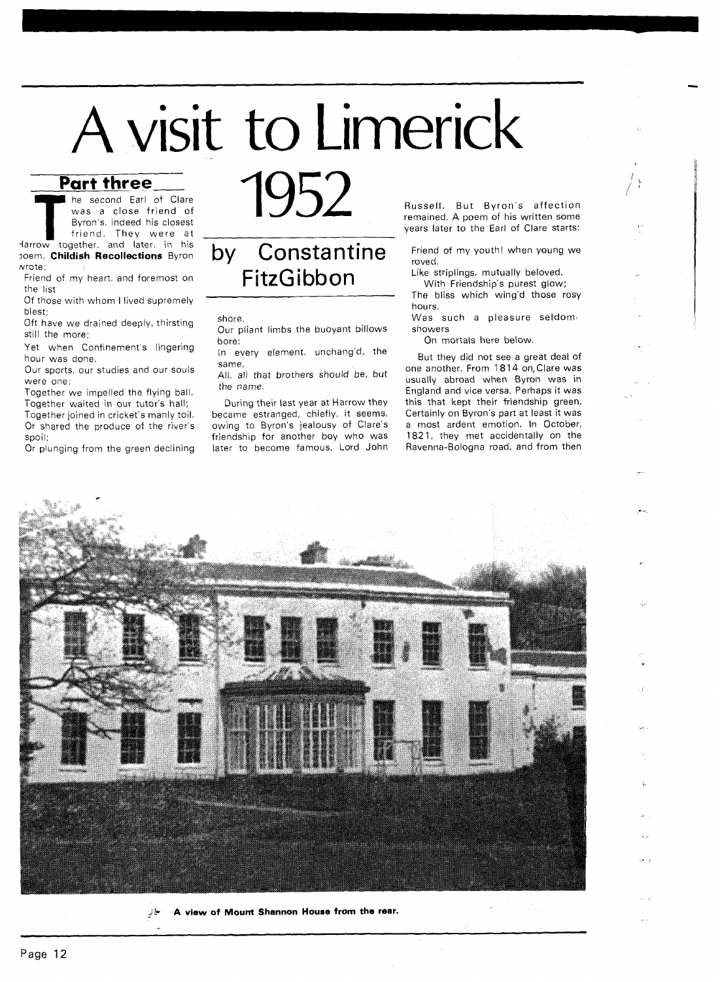# A visit to Limerick

# **Part three Example 2015**

**The second Earl of Clare**<br> **The was a close friend of Byron's, indeed his closest**<br> **Friend.** They were at<br> **Harrow together, and later, in his** was a close friend of Byron's, indeed his closest friend. They were at

Ioem. **Childish Recollections** Byron wrote:

Friend of my heart, and foremost on the list

Of those with whom I lived supremely blest;

Oft have we drained deeply, thirsting still the more;

Yet when Confinement's lingering hour was done,

Our sports, our studies and our souls were one:

Together we impelled the flying ball, Together waited in our tutor's hall;

Together joined in cricket's manly toil, Or shared the produce of the river's spoil:

Or plunging from the green declining



## by Constantine FitzGibbon

shore,

Our pliant limbs the buoyant billows bore:

In every element, unchang'd, the

same, All, all that brothers should be, but the name.

During their last year at Harrow they became estranged, chiefly, it seems, owing to Byron's jealousy of Clare's friendship for another boy who was later to become famous, Lord John Russell. But Byron's affection remained. A poem of his written some years later to the Earl of Clare starts:

Friend of my youth! when young we roved.

Like striplings, mutually beloved.

With Friendship's purest glow; The bliss which wing'd those rosy hours,

Was such a pleasure seldom showers

On mortals here below.

But they did not see a great deal of one another. From 1814 on, Clare was usually abroad when Byron was in England and vice versa. Perhaps it was this that kept their friendship green. Certainly on Byron's part at least it was a most ardent emotion. In October, 1821, they met accidentally on the Ravenna-Bologna road, and from then



**A view of Mount Shannon House from the rear.**  یخ لي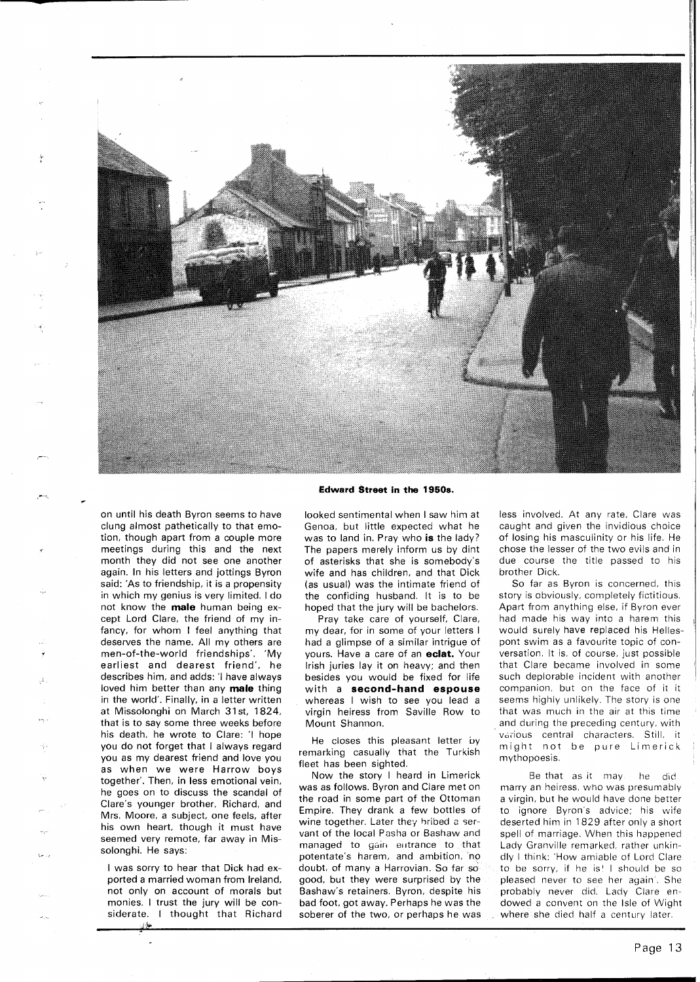

### **Edward Street in the 1950s.**

on until his death Byron seems to have clung almost pathetically to that emotion, though apart from a couple more meetings during this and the next month they did not see one another again. In his letters and jottings Byron said: 'As to friendship, it is a propensity in which my genius is very limited. I do not know the **male** human being except Lord Clare, the friend of my infancy, for whom I feel anything that deserves the name. All my others are men-of-the-world friendships'. 'My earliest and dearest friend', he describes him, and adds: 'l have always loved him better than any **male** thing in the world'. Finally, in a letter written at Missolonghi on March 31 st, 1824, that is to say some three weeks before his death, he wrote to Clare: 'l hope you do not forget that I always regard you as my dearest friend and love you as when we were Harrow boys together'. Then, in less emotional vein, he goes on to discuss the scandal of Clare's younger brother, Richard, and Mrs. Moore, a subject, one feels, after his own heart. though it must have seemed very remote, far away in Missolonghi. He says:

I was sorry to hear that Dick had exported a married woman from Ireland, not only on account of morals but monies. I trust the jury will be considerate. I thought that Richard

,.l

looked sentimental when I saw him at Genoa, but little expected what he was to land in. Pray who **is** the lady? The papers merely inform us by dint of asterisks that she is somebody's wife and has children, and that Dick (as usual) was the intimate friend of the confiding husband. It is to be hoped that the jury will be bachelors.

Pray take care of yourself, Clare, my dear, for in some of your letters I had a glimpse of a similar intrigue of yours. Have a care of an **eclat.** Your Irish juries lay it on heavy; and then besides you would be fixed for life with a **second-hand espouse**  whereas I wish to see you lead a virgin heiress from Saville Row to Mount Shannon.

He closes this pleasant letter by remarking casually that the Turkish fleet has been sighted.

Now the story I heard in Limerick was as follows. Byron and Clare met on the road in some part of the Ottoman Empire. They drank a few bottles of wine together. Later they bribed a servant of the local Pasha or Bashaw and managed to gain entrance to that potentate's harem, and ambition, no doubt, of many a Harrovian. So far so good, but they were surprised by the Bashaw's retainers. Byron, despite his bad foot, got away. Perhaps he was the soberer of the two, or perhaps he was less involved. At any rate, Clare was caught and given the invidious choice of losing his masculinity or his life. He chose the lesser of the two evils and in due course the title passed to his brother Dick.

So far as Byron is concerned, this story is obviously, completely fictitious. Apart from anything else, if Byron ever had made his way into a harem this would surely have replaced his Hellespont swim as a favourite topic of conversation. It is, of course, just possible that Clare became involved in some such deplorable incident with another companion, but on the face of it it seems highly unlikely. The story is one that was much in the air at this time and during the preceding century, with various central characters. Still, it might not be pure Limerick mythopoesis.

Be that as it may. he did marry an heiress, who was presumably a virgin, but he would have done better to ignore Byron's advice; his wife deserted him in 1829 after only a short spell of marriage. When this happened Lady Granville remarked, rather unkindly I think: 'How amiable of Lord Clare to be sorry, if he is! I should be so pleased never to see her again'. She probably never did. Lady Clare endowed a convent on the Isle of Wight where she died half a century later.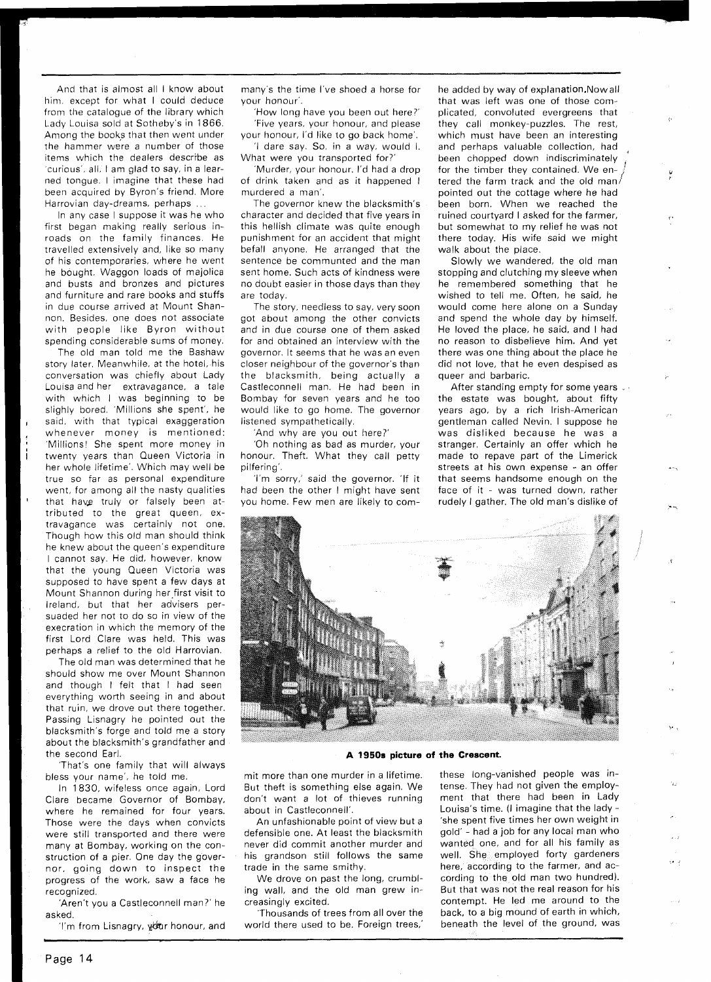And that is almost all I know about him. except for what I could deduce from the catalogue of the library which Lady Louisa sold at Sotheby's in 1866. Among the books that then went under the hammer were a number of those items which the dealers describe as 'curious', all, I am glad to say, in a learned tongue. I imagine that these had been acquired by Byron's friend. More Harrovian day-dreams, perhaps ...

In any case I suppose it was he who first began making really serious inroads on the family finances. He travelled extensively and, like so many of his contemporaries, where he went he bought. Waggon loads of majolica and busts and bronzes and pictures and furniture and rare books and stuffs in due course arrived at Mount Shannon. Besides, one does not associate with people like Byron without spending considerable sums of money.

The old man told me the Bashaw story later. Meanwhile, at the hotel, his conversation was chiefly about Lady Louisa and her extravagance, a tale with which I was beginning to be slighly bored. 'Millions she spent', he said, with that typical exaggeration whenever money is mentioned: 'Millions! She spent more money in twenty years than Queen Victoria in her whole lifetime'. Which may well be true so far as personal expenditure went, for among all the nasty qualities that havg truly or falsely been attributed to the great queen, extravagance was certainly not one. Though how this old man should think he knew about the queen's expenditure I cannot say. He did, however, know that the young Queen Victoria was supposed to have spent a few days at Mount Shannon during her,first visit to Ireland, but that her advisers persuaded her not to do so in view of the execration in which the memory of the first Lord Clare was held. This was perhaps a relief to the old Harrovian.

The old man was determined that he should show me over Mount Shannon and though I felt that I had seen everything worth seeing in and about that ruin, we drove out there together. Passing Lisnagry he pointed out the blacksmith's forge and told me a story about the blacksmith's grandfather and the second Earl.

'That's one family that will always bless your name', he told me.

In 1830, wifeless once again, Lord Clare became Governor of Bombay. where he remained for four years. Those were the days when convicts were still transported and there were many at Bombay, working on the construction of a pier. One day the governor, going down to inspect the progress of the work, saw a face he recognized.

'Aren't you a Castleconnell man?' he asked.

'I'm from Lisnagry, your honour, and

many's the time I've shoed a horse for your honour'.

'How long have you been out here?' 'Five years, your honour, and please your honour, I'd like to go back home'.

'I dare say. So, in a way, would I. What were you transported for?'

'Murder, your honour. I'd had a drop of drink taken and as it happened I murdered a man'.

The governor knew the blacksmith's character and decided that five years in this hellish climate was quite enough punishment for an accident that might befall anyone. He arranged that the sentence be communted and the man sent home. Such acts of kindness were no doubt easier in those days than they are today.

The story, needless to say, very soon got about among the other convicts and in due course one of them asked for and obtained an interview with the governor. It seems that he was an even closer neighbour of the governor's than the blacksmith, being actually a Castleconnell man. He had been in Bombay for seven years and he too would like to go home. The governor listened sympathetically.

'And why are you out here?'

'Oh nothing as bad as murder, your honour. Theft. What they call petty pilfering'.

'I'm sorry,' said the governor. 'If it had been the other I might have sent you home. Few men are likely to comhe added by way of explanation.Nowall that was left was one of those complicated, convoluted evergreens that they call monkey-puzzles. The rest, which must have been an interesting and perhaps valuable collection, had been chopped down indiscriminately for the timber they contained. We entered the farm track and the old man/ pointed out the cottage where he had been born. When we reached the ruined courtyard I asked for the farmer, but somewhat to my relief he was not there today. His wife said we might walk about the place.

Slowly we wandered, the old man stopping and clutching my sleeve when he remembered something that he wished to tell me. Often, he said, he would come here alone on a Sunday and spend the whole day by himself. He loved the place, he said, and I had no reason to disbelieve him. And yet there was one thing about the place he did not love, that he even despised as queer and barbaric.

After standing empty for some years ... the estate was bought, about fifty years ago, by a rich Irish-American gentleman called Nevin. I suppose he was disliked because he was a stranger. Certainly an offer which he made to repave part of the Limerick streets at his own expense - an offer that seems handsome enough on the face of it - was turned down, rather rudely I gather. The old man's dislike of



### **A 1950s picture of the Crescent.**

mit more than one murder in a lifetime. But theft is something else again. We don't want a lot of thieves running about in Castleconnell'.

An unfashionable point of view but a defensible one. At least the blacksmith never did commit another murder and his grandson still follows the same trade in the same smithy.

We drove on past the long, crumbling wall, and the old man grew increasingly excited.

'Thousands of trees from all over the world there used to be. Foreign trees,'

these long-vanished people was intense. They had not given the employment that there had been in Lady Louisa's time. (I imagine that the lady - 'she spent five times her own weight in gold' - had a job for any local man who wanted one, and for all his family as well. She employed forty gardeners here, according to the farmer, and according to the old man two hundred). But that was not the real reason for his contempt. He led me around to the back, to a big mound of earth in which, beneath the level of the ground, was

**I**